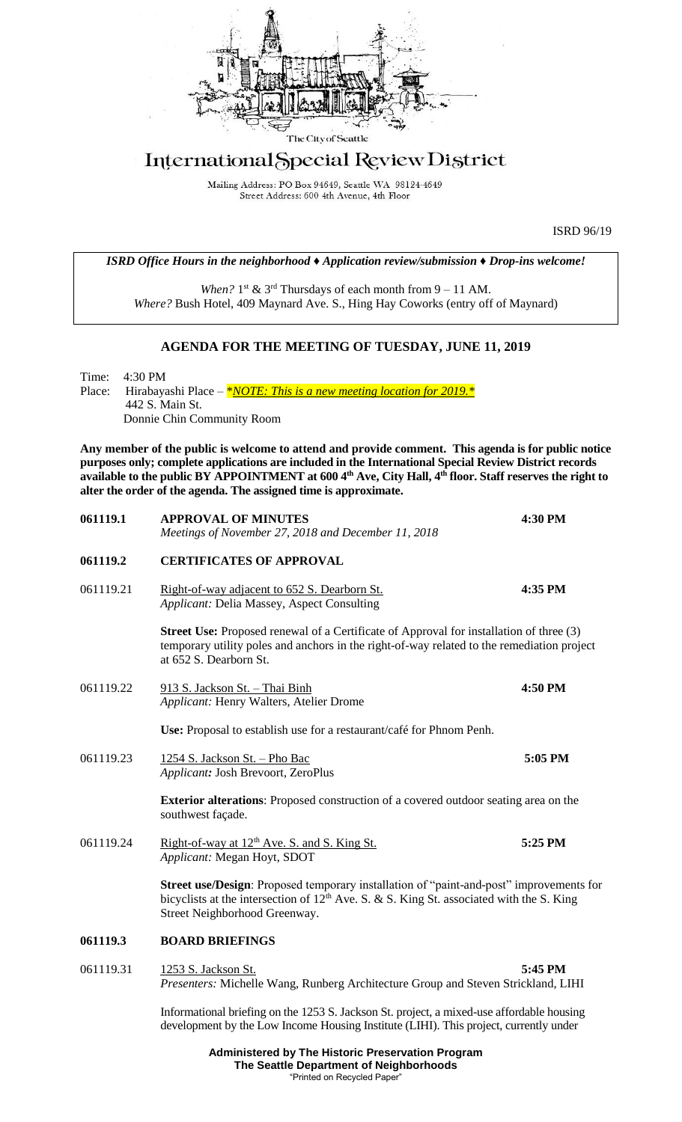

## International Special Review District

Mailing Address: PO Box 94649, Seattle WA 98124-4649 Street Address: 600 4th Avenue, 4th Floor

ISRD 96/19

|  | <b>ISRD Office Hours in the neighborhood <math>\triangle</math> Application review/submission <math>\triangle</math> Drop-ins welcome!</b> |
|--|--------------------------------------------------------------------------------------------------------------------------------------------|
|--|--------------------------------------------------------------------------------------------------------------------------------------------|

When?  $1<sup>st</sup>$  &  $3<sup>rd</sup>$  Thursdays of each month from  $9 - 11$  AM. *Where?* Bush Hotel, 409 Maynard Ave. S., Hing Hay Coworks (entry off of Maynard)

## **AGENDA FOR THE MEETING OF TUESDAY, JUNE 11, 2019**

Time: 4:30 PM Place: Hirabayashi Place – *\*<u>NOTE: This is a new meeting location for 2019.</u> \** 442 S. Main St. Donnie Chin Community Room

**Any member of the public is welcome to attend and provide comment. This agenda is for public notice purposes only; complete applications are included in the International Special Review District records available to the public BY APPOINTMENT at 600 4th Ave, City Hall, 4th floor. Staff reserves the right to alter the order of the agenda. The assigned time is approximate.** 

| 061119.1  | <b>APPROVAL OF MINUTES</b><br>Meetings of November 27, 2018 and December 11, 2018                                                                                                                                      | 4:30 PM |
|-----------|------------------------------------------------------------------------------------------------------------------------------------------------------------------------------------------------------------------------|---------|
| 061119.2  | <b>CERTIFICATES OF APPROVAL</b>                                                                                                                                                                                        |         |
| 061119.21 | Right-of-way adjacent to 652 S. Dearborn St.<br>Applicant: Delia Massey, Aspect Consulting                                                                                                                             | 4:35 PM |
|           | <b>Street Use:</b> Proposed renewal of a Certificate of Approval for installation of three (3)<br>temporary utility poles and anchors in the right-of-way related to the remediation project<br>at 652 S. Dearborn St. |         |
| 061119.22 | 913 S. Jackson St. - Thai Binh<br>Applicant: Henry Walters, Atelier Drome                                                                                                                                              | 4:50 PM |
|           | Use: Proposal to establish use for a restaurant/café for Phnom Penh.                                                                                                                                                   |         |
| 061119.23 | 1254 S. Jackson St. - Pho Bac<br>Applicant: Josh Brevoort, ZeroPlus                                                                                                                                                    | 5:05 PM |
|           | <b>Exterior alterations:</b> Proposed construction of a covered outdoor seating area on the<br>southwest façade.                                                                                                       |         |
| 061119.24 | Right-of-way at 12 <sup>th</sup> Ave. S. and S. King St.<br>Applicant: Megan Hoyt, SDOT                                                                                                                                | 5:25 PM |
|           | Street use/Design: Proposed temporary installation of "paint-and-post" improvements for<br>bicyclists at the intersection of $12th$ Ave. S. & S. King St. associated with the S. King<br>Street Neighborhood Greenway. |         |
| 061119.3  | <b>BOARD BRIEFINGS</b>                                                                                                                                                                                                 |         |
| 061119.31 | 1253 S. Jackson St.<br>Presenters: Michelle Wang, Runberg Architecture Group and Steven Strickland, LIHI                                                                                                               | 5:45 PM |
|           | Informational briefing on the 1253 S. Jackson St. project, a mixed-use affordable housing<br>development by the Low Income Housing Institute (LIHI). This project, currently under                                     |         |

**Administered by The Historic Preservation Program The Seattle Department of Neighborhoods** "Printed on Recycled Paper"